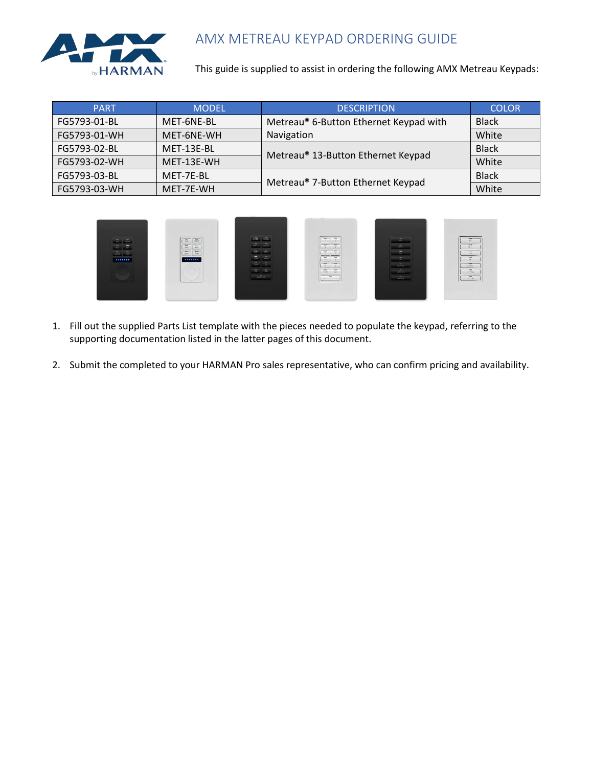

#### AMX METREAU KEYPAD ORDERING GUIDE

This guide is supplied to assist in ordering the following AMX Metreau Keypads:

| <b>PART</b>  | <b>MODEL</b> | <b>DESCRIPTION</b>                     | <b>COLOR</b> |
|--------------|--------------|----------------------------------------|--------------|
| FG5793-01-BL | MET-6NE-BL   | Metreau® 6-Button Ethernet Keypad with | <b>Black</b> |
| FG5793-01-WH | MET-6NE-WH   | Navigation                             | White        |
| FG5793-02-BL | MET-13E-BL   |                                        | <b>Black</b> |
| FG5793-02-WH | MET-13E-WH   | Metreau® 13-Button Ethernet Keypad     | White        |
| FG5793-03-BL | MET-7E-BL    |                                        | <b>Black</b> |
| FG5793-03-WH | MET-7E-WH    | Metreau® 7-Button Ethernet Keypad      | White        |



- 1. Fill out the supplied Parts List template with the pieces needed to populate the keypad, referring to the supporting documentation listed in the latter pages of this document.
- 2. Submit the completed to your HARMAN Pro sales representative, who can confirm pricing and availability.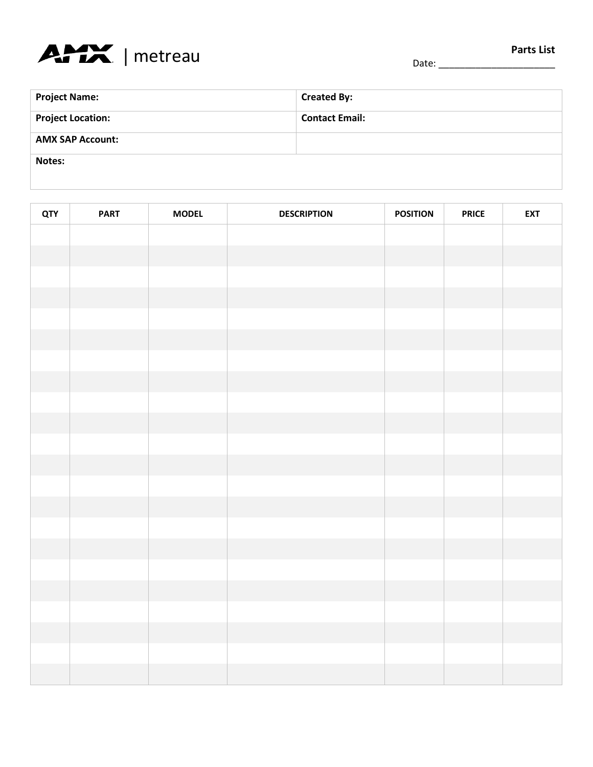

# **Project Name: Created By: Created By: Project Location: Contact Email: AMX SAP Account: Notes:**

| <b>QTY</b> | <b>PART</b> | <b>MODEL</b> | <b>DESCRIPTION</b> | <b>POSITION</b> | <b>PRICE</b> | <b>EXT</b> |
|------------|-------------|--------------|--------------------|-----------------|--------------|------------|
|            |             |              |                    |                 |              |            |
|            |             |              |                    |                 |              |            |
|            |             |              |                    |                 |              |            |
|            |             |              |                    |                 |              |            |
|            |             |              |                    |                 |              |            |
|            |             |              |                    |                 |              |            |
|            |             |              |                    |                 |              |            |
|            |             |              |                    |                 |              |            |
|            |             |              |                    |                 |              |            |
|            |             |              |                    |                 |              |            |
|            |             |              |                    |                 |              |            |
|            |             |              |                    |                 |              |            |
|            |             |              |                    |                 |              |            |
|            |             |              |                    |                 |              |            |
|            |             |              |                    |                 |              |            |
|            |             |              |                    |                 |              |            |
|            |             |              |                    |                 |              |            |
|            |             |              |                    |                 |              |            |
|            |             |              |                    |                 |              |            |
|            |             |              |                    |                 |              |            |
|            |             |              |                    |                 |              |            |
|            |             |              |                    |                 |              |            |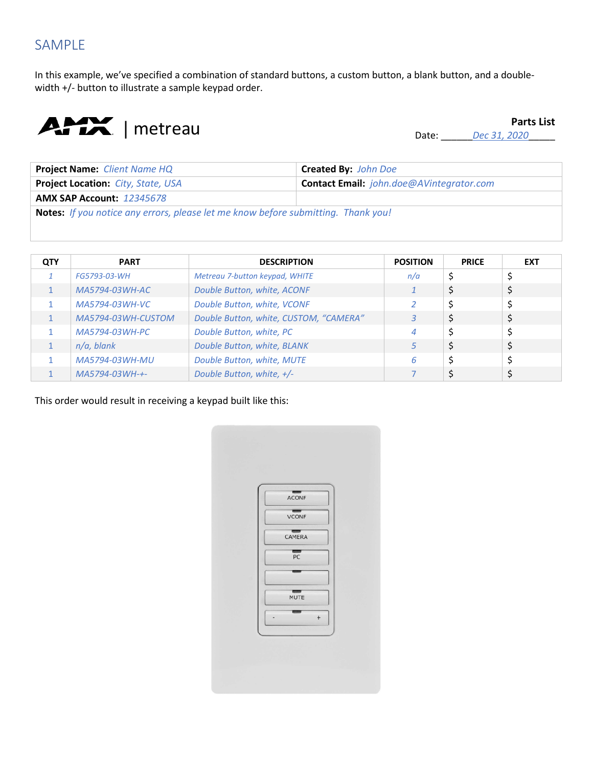### SAMPLE

In this example, we've specified a combination of standard buttons, a custom button, a blank button, and a doublewidth +/- button to illustrate a sample keypad order.



Date: \_\_\_\_\_\_*Dec 31, 2020*\_\_\_\_\_

| <b>Project Name:</b> Client Name HQ                                                      | <b>Created By:</b> John Doe                     |  |  |  |
|------------------------------------------------------------------------------------------|-------------------------------------------------|--|--|--|
| <b>Project Location: City, State, USA</b>                                                | <b>Contact Email:</b> john.doe@AVintegrator.com |  |  |  |
| <b>AMX SAP Account: 12345678</b>                                                         |                                                 |  |  |  |
| <b>Notes:</b> If you notice any errors, please let me know before submitting. Thank you! |                                                 |  |  |  |

| QTY | <b>PART</b>        | <b>DESCRIPTION</b>                     | <b>POSITION</b> | <b>PRICE</b> | <b>EXT</b> |
|-----|--------------------|----------------------------------------|-----------------|--------------|------------|
|     | FG5793-03-WH       | Metreau 7-button keypad, WHITE         | n/a             |              |            |
|     | MA5794-03WH-AC     | Double Button, white, ACONF            |                 |              |            |
|     | MA5794-03WH-VC     | Double Button, white, VCONF            |                 |              |            |
|     | MA5794-03WH-CUSTOM | Double Button, white, CUSTOM, "CAMERA" | 3               |              | \$         |
|     | MA5794-03WH-PC     | Double Button, white, PC               | 4               |              | ⊋          |
|     | $n/a$ , blank      | Double Button, white, BLANK            | 5.              |              | \$         |
|     | MA5794-03WH-MU     | Double Button, white, MUTE             | 6               |              |            |
|     | MA5794-03WH-+-     | Double Button, white, +/-              |                 |              |            |

This order would result in receiving a keypad built like this:

| ACONF                        |        |  |
|------------------------------|--------|--|
| $\overline{v_{\text{CONF}}}$ |        |  |
| CAMERA                       |        |  |
| $rac{1}{\sqrt{2}}$           |        |  |
|                              |        |  |
| MUTE                         |        |  |
|                              | $^{+}$ |  |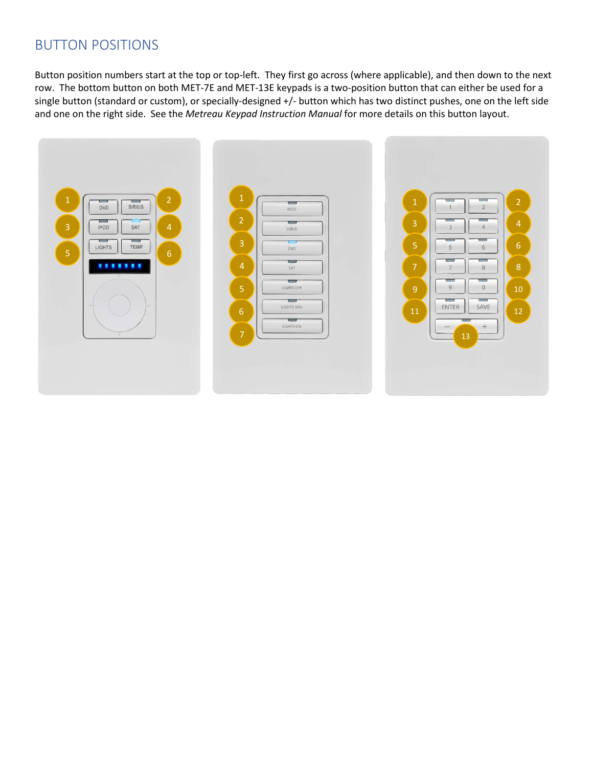#### BUTTON POSITIONS

Button position numbers start at the top or top-left. They first go across (where applicable), and then down to the next row. The bottom button on both MET-7E and MET-13E keypads is a two-position button that can either be used for a single button (standard or custom), or specially-designed +/- button which has two distinct pushes, one on the left side and one on the right side. See the *Metreau Keypad Instruction Manual* for more details on this button layout.

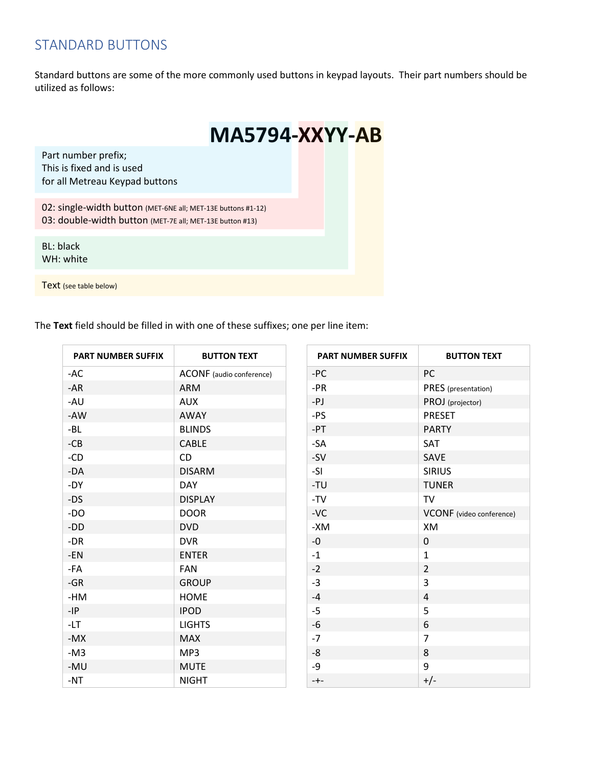### STANDARD BUTTONS

Standard buttons are some of the more commonly used buttons in keypad layouts. Their part numbers should be utilized as follows:

|                                                                                                                          | <b>MA5794-XXYY-AB</b> |  |  |
|--------------------------------------------------------------------------------------------------------------------------|-----------------------|--|--|
| Part number prefix;<br>This is fixed and is used<br>for all Metreau Keypad buttons                                       |                       |  |  |
| 02: single-width button (MET-6NE all; MET-13E buttons #1-12)<br>03: double-width button (MET-7E all; MET-13E button #13) |                       |  |  |
| <b>BL: black</b><br>WH: white                                                                                            |                       |  |  |
| Text (see table below)                                                                                                   |                       |  |  |

The **Text** field should be filled in with one of these suffixes; one per line item:

| <b>PART NUMBER SUFFIX</b> | <b>BUTTON TEXT</b>       | PART NUMBER SUFFIX | <b>BUTTON TEXT</b>       |
|---------------------------|--------------------------|--------------------|--------------------------|
| -AC                       | ACONF (audio conference) | $-PC$              | PC                       |
| -AR                       | ARM                      | $-PR$              | PRES (presentation)      |
| -AU                       | <b>AUX</b>               | -PJ                | PROJ (projector)         |
| -AW                       | AWAY                     | -PS                | PRESET                   |
| -BL                       | <b>BLINDS</b>            | $-PT$              | <b>PARTY</b>             |
| $-CB$                     | CABLE                    | -SA                | SAT                      |
| -CD                       | <b>CD</b>                | $-SV$              | SAVE                     |
| $-DA$                     | <b>DISARM</b>            | -SI                | <b>SIRIUS</b>            |
| -DY                       | <b>DAY</b>               | -TU                | <b>TUNER</b>             |
| -DS                       | <b>DISPLAY</b>           | $-TV$              | TV                       |
| -DO                       | <b>DOOR</b>              | $-VC$              | VCONF (video conference) |
| -DD                       | <b>DVD</b>               | -XM                | XM                       |
| -DR                       | <b>DVR</b>               | $-0$               | 0                        |
| -EN                       | <b>ENTER</b>             | $-1$               | $\mathbf{1}$             |
| -FA                       | FAN                      | $-2$               | $\overline{2}$           |
| $-GR$                     | <b>GROUP</b>             | $-3$               | 3                        |
| $-HM$                     | <b>HOME</b>              | $-4$               | $\pmb{4}$                |
| $-IP$                     | <b>IPOD</b>              | $-5$               | 5                        |
| $-LT$                     | <b>LIGHTS</b>            | $-6$               | 6                        |
| $-MX$                     | <b>MAX</b>               | $-7$               | $\overline{7}$           |
| $-M3$                     | MP3                      | $-8$               | 8                        |
| -MU                       | <b>MUTE</b>              | -9                 | 9                        |
| -NT                       | <b>NIGHT</b>             | $-+-$              | $+/-$                    |